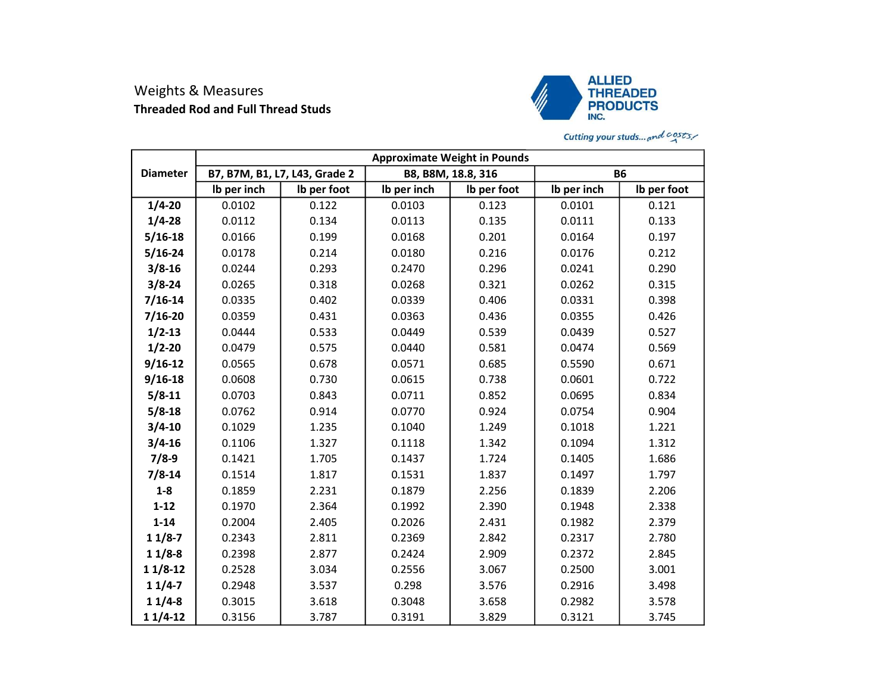## Weights & Measures Threaded Rod and Full Thread Studs



## Cutting your studs... and  $costs$ .

|                 | <b>Approximate Weight in Pounds</b> |             |                    |             |             |             |  |  |
|-----------------|-------------------------------------|-------------|--------------------|-------------|-------------|-------------|--|--|
| <b>Diameter</b> | B7, B7M, B1, L7, L43, Grade 2       |             | B8, B8M, 18.8, 316 |             | <b>B6</b>   |             |  |  |
|                 | Ib per inch                         | Ib per foot | Ib per inch        | Ib per foot | Ib per inch | Ib per foot |  |  |
| $1/4 - 20$      | 0.0102                              | 0.122       | 0.0103             | 0.123       | 0.0101      | 0.121       |  |  |
| $1/4 - 28$      | 0.0112                              | 0.134       | 0.0113             | 0.135       | 0.0111      | 0.133       |  |  |
| $5/16 - 18$     | 0.0166                              | 0.199       | 0.0168             | 0.201       | 0.0164      | 0.197       |  |  |
| $5/16 - 24$     | 0.0178                              | 0.214       | 0.0180             | 0.216       | 0.0176      | 0.212       |  |  |
| $3/8 - 16$      | 0.0244                              | 0.293       | 0.2470             | 0.296       | 0.0241      | 0.290       |  |  |
| $3/8 - 24$      | 0.0265                              | 0.318       | 0.0268             | 0.321       | 0.0262      | 0.315       |  |  |
| $7/16 - 14$     | 0.0335                              | 0.402       | 0.0339             | 0.406       | 0.0331      | 0.398       |  |  |
| $7/16 - 20$     | 0.0359                              | 0.431       | 0.0363             | 0.436       | 0.0355      | 0.426       |  |  |
| $1/2 - 13$      | 0.0444                              | 0.533       | 0.0449             | 0.539       | 0.0439      | 0.527       |  |  |
| $1/2 - 20$      | 0.0479                              | 0.575       | 0.0440             | 0.581       | 0.0474      | 0.569       |  |  |
| $9/16 - 12$     | 0.0565                              | 0.678       | 0.0571             | 0.685       | 0.5590      | 0.671       |  |  |
| $9/16 - 18$     | 0.0608                              | 0.730       | 0.0615             | 0.738       | 0.0601      | 0.722       |  |  |
| $5/8 - 11$      | 0.0703                              | 0.843       | 0.0711             | 0.852       | 0.0695      | 0.834       |  |  |
| $5/8 - 18$      | 0.0762                              | 0.914       | 0.0770             | 0.924       | 0.0754      | 0.904       |  |  |
| $3/4 - 10$      | 0.1029                              | 1.235       | 0.1040             | 1.249       | 0.1018      | 1.221       |  |  |
| $3/4 - 16$      | 0.1106                              | 1.327       | 0.1118             | 1.342       | 0.1094      | 1.312       |  |  |
| $7/8-9$         | 0.1421                              | 1.705       | 0.1437             | 1.724       | 0.1405      | 1.686       |  |  |
| $7/8 - 14$      | 0.1514                              | 1.817       | 0.1531             | 1.837       | 0.1497      | 1.797       |  |  |
| $1-8$           | 0.1859                              | 2.231       | 0.1879             | 2.256       | 0.1839      | 2.206       |  |  |
| $1 - 12$        | 0.1970                              | 2.364       | 0.1992             | 2.390       | 0.1948      | 2.338       |  |  |
| $1 - 14$        | 0.2004                              | 2.405       | 0.2026             | 2.431       | 0.1982      | 2.379       |  |  |
| $11/8-7$        | 0.2343                              | 2.811       | 0.2369             | 2.842       | 0.2317      | 2.780       |  |  |
| $11/8-8$        | 0.2398                              | 2.877       | 0.2424             | 2.909       | 0.2372      | 2.845       |  |  |
| $11/8-12$       | 0.2528                              | 3.034       | 0.2556             | 3.067       | 0.2500      | 3.001       |  |  |
| $11/4-7$        | 0.2948                              | 3.537       | 0.298              | 3.576       | 0.2916      | 3.498       |  |  |
| $11/4-8$        | 0.3015                              | 3.618       | 0.3048             | 3.658       | 0.2982      | 3.578       |  |  |
| $11/4-12$       | 0.3156                              | 3.787       | 0.3191             | 3.829       | 0.3121      | 3.745       |  |  |